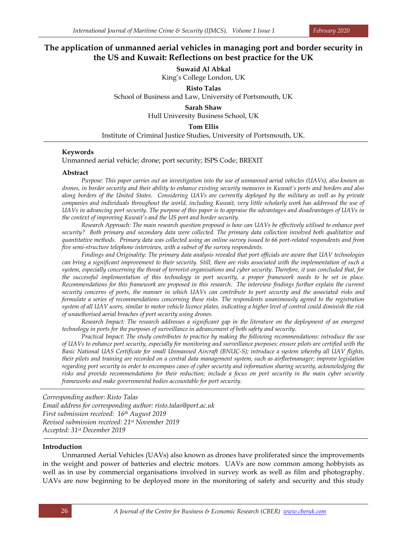# **The application of unmanned aerial vehicles in managing port and border security in the US and Kuwait: Reflections on best practice for the UK**

**Suwaid Al Abkal** King's College London, UK

**Risto Talas**

School of Business and Law, University of Portsmouth, UK

**Sarah Shaw**

Hull University Business School, UK

**Tom Ellis**

Institute of Criminal Justice Studies, University of Portsmouth, UK.

## **Keywords**

Unmanned aerial vehicle; drone; port security; ISPS Code; BREXIT

#### **Abstract**

*Purpose: This paper carries out an investigation into the use of unmanned aerial vehicles (UAVs), also known as drones, in border security and their ability to enhance existing security measures in Kuwait's ports and borders and also along borders of the United States. Considering UAVs are currently deployed by the military as well as by private companies and individuals throughout the world, including Kuwait, very little scholarly work has addressed the use of UAVs in advancing port security. The purpose of this paper is to appraise the advantages and disadvantages of UAVs in the context of improving Kuwait's and the US port and border security.*

*Research Approach: The main research question proposed is how can UAVs be effectively utilised to enhance port security? Both primary and secondary data were collected. The primary data collection involved both qualitative and quantitative methods. Primary data was collected using an online survey issued to 66 port-related respondents and from five semi-structure telephone interviews, with a subset of the survey respondents.*

*Findings and Originality: The primary data analysis revealed that port officials are aware that UAV technologies can bring a significant improvement to their security. Still, there are risks associated with the implementation of such a system, especially concerning the threat of terrorist organisations and cyber security. Therefore, it was concluded that, for the successful implementation of this technology in port security, a proper framework needs to be set in place. Recommendations for this framework are proposed in this research. The interview findings further explain the current security concerns of ports, the manner in which UAVs can contribute to port security and the associated risks and formulate a series of recommendations concerning these risks. The respondents unanimously agreed to the registration system of all UAV users, similar to motor vehicle licence plates, indicating a higher level of control could diminish the risk of unauthorised aerial breaches of port security using drones.*

*Research Impact: The research addresses a significant gap in the literature on the deployment of an emergent technology in ports for the purposes of surveillance in advancement of both safety and security.*

*Practical Impact: The study contributes to practice by making the following recommendations: introduce the use of UAVs to enhance port security, especially for monitoring and surveillance purposes; ensure pilots are certified with the Basic National UAS Certificate for small Unmanned Aircraft (BNUC-S); introduce a system whereby all UAV flights, their pilots and training are recorded on a central data management system, such as airfleetmanager; improve legislation regarding port security in order to encompass cases of cyber security and information sharing security, acknowledging the risks and provide recommendations for their reduction; include a focus on port security in the main cyber security frameworks and make governmental bodies accountable for port security.*

*Corresponding author: Risto Talas Email address for corresponding author: risto.talas@port.ac.uk First submission received: 16 th August 2019 Revised submission received: 21st November 2019 Accepted: 31st December 2019*

## **Introduction**

Unmanned Aerial Vehicles (UAVs) also known as drones have proliferated since the improvements in the weight and power of batteries and electric motors. UAVs are now common among hobbyists as well as in use by commercial organisations involved in survey work as well as film and photography. UAVs are now beginning to be deployed more in the monitoring of safety and security and this study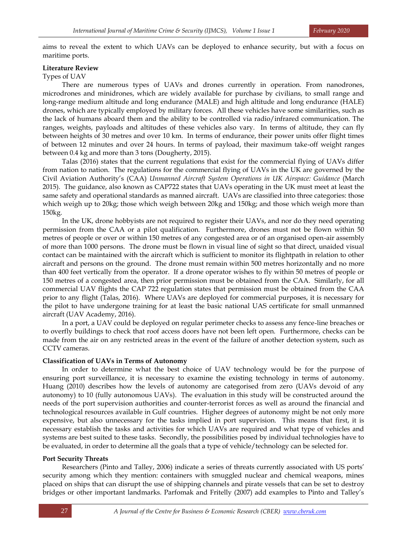aims to reveal the extent to which UAVs can be deployed to enhance security, but with a focus on maritime ports.

#### **Literature Review**

## Types of UAV

There are numerous types of UAVs and drones currently in operation. From nanodrones, microdrones and minidrones, which are widely available for purchase by civilians, to small range and long-range medium altitude and long endurance (MALE) and high altitude and long endurance (HALE) drones, which are typically employed by military forces. All these vehicles have some similarities, such as the lack of humans aboard them and the ability to be controlled via radio/infrared communication. The ranges, weights, payloads and altitudes of these vehicles also vary. In terms of altitude, they can fly between heights of 30 metres and over 10 km. In terms of endurance, their power units offer flight times of between 12 minutes and over 24 hours. In terms of payload, their maximum take-off weight ranges between 0.4 kg and more than 3 tons (Dougherty, 2015).

Talas (2016) states that the current regulations that exist for the commercial flying of UAVs differ from nation to nation. The regulations for the commercial flying of UAVs in the UK are governed by the Civil Aviation Authority's (CAA) *Unmanned Aircraft System Operations in UK Airspace: Guidance* (March 2015). The guidance, also known as CAP722 states that UAVs operating in the UK must meet at least the same safety and operational standards as manned aircraft. UAVs are classified into three categories: those which weigh up to 20kg; those which weigh between 20kg and 150kg; and those which weigh more than 150kg.

In the UK, drone hobbyists are not required to register their UAVs, and nor do they need operating permission from the CAA or a pilot qualification. Furthermore, drones must not be flown within 50 metres of people or over or within 150 metres of any congested area or of an organised open-air assembly of more than 1000 persons. The drone must be flown in visual line of sight so that direct, unaided visual contact can be maintained with the aircraft which is sufficient to monitor its flightpath in relation to other aircraft and persons on the ground. The drone must remain within 500 metres horizontally and no more than 400 feet vertically from the operator. If a drone operator wishes to fly within 50 metres of people or 150 metres of a congested area, then prior permission must be obtained from the CAA. Similarly, for all commercial UAV flights the CAP 722 regulation states that permission must be obtained from the CAA prior to any flight (Talas, 2016). Where UAVs are deployed for commercial purposes, it is necessary for the pilot to have undergone training for at least the basic national UAS certificate for small unmanned aircraft (UAV Academy, 2016).

In a port, a UAV could be deployed on regular perimeter checks to assess any fence-line breaches or to overfly buildings to check that roof access doors have not been left open. Furthermore, checks can be made from the air on any restricted areas in the event of the failure of another detection system, such as CCTV cameras.

## **Classification of UAVs in Terms of Autonomy**

In order to determine what the best choice of UAV technology would be for the purpose of ensuring port surveillance, it is necessary to examine the existing technology in terms of autonomy. Huang (2010) describes how the levels of autonomy are categorised from zero (UAVs devoid of any autonomy) to 10 (fully autonomous UAVs). The evaluation in this study will be constructed around the needs of the port supervision authorities and counter-terrorist forces as well as around the financial and technological resources available in Gulf countries. Higher degrees of autonomy might be not only more expensive, but also unnecessary for the tasks implied in port supervision. This means that first, it is necessary establish the tasks and activities for which UAVs are required and what type of vehicles and systems are best suited to these tasks. Secondly, the possibilities posed by individual technologies have to be evaluated, in order to determine all the goals that a type of vehicle/technology can be selected for.

### **Port Security Threats**

Researchers (Pinto and Talley, 2006) indicate a series of threats currently associated with US ports' security among which they mention: containers with smuggled nuclear and chemical weapons, mines placed on ships that can disrupt the use of shipping channels and pirate vessels that can be set to destroy bridges or other important landmarks. Parfomak and Fritelly (2007) add examples to Pinto and Talley's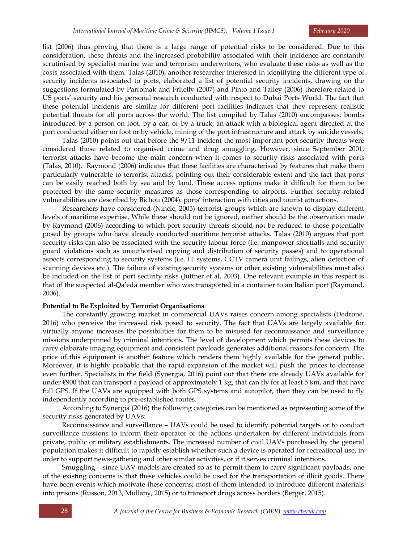list (2006) thus proving that there is a large range of potential risks to be considered. Due to this consideration, these threats and the increased probability associated with their incidence are constantly scrutinised by specialist marine war and terrorism underwriters, who evaluate these risks as well as the costs associated with them. Talas (2010), another researcher interested in identifying the different type of security incidents associated to ports, elaborated a list of potential security incidents, drawing on the suggestions formulated by Parfomak and Fritelly (2007) and Pinto and Talley (2006) therefore related to US ports' security and his personal research conducted with respect to Dubai Ports World. The fact that these potential incidents are similar for different port facilities indicates that they represent realistic potential threats for all ports across the world. The list compiled by Talas (2010) encompasses: bombs introduced by a person on foot, by a car, or by a truck; an attack with a biological agent directed at the port conducted either on foot or by vehicle, mining of the port infrastructure and attack by suicide vessels.

Talas (2010) points out that before the 9/11 incident the most important port security threats were considered those related to organised crime and drug smuggling. However, since September 2001, terrorist attacks have become the main concern when it comes to security risks associated with ports (Talas, 2010). Raymond (2006) indicates that these facilities are characterised by features that make them particularly vulnerable to terrorist attacks, pointing out their considerable extent and the fact that ports can be easily reached both by sea and by land. These access options make it difficult for them to be protected by the same security measures as those corresponding to airports. Further security-related vulnerabilities are described by Bichou (2004): ports' interaction with cities and tourist attractions.

Researchers have considered (Nincic, 2005) terrorist groups which are known to display different levels of maritime expertise. While these should not be ignored, neither should be the observation made by Raymond (2006) according to which port security threats should not be reduced to those potentially posed by groups who have already conducted maritime terrorist attacks. Talas (2010) argues that port security risks can also be associated with the security labour force (i.e. manpower shortfalls and security guard violations such as unauthorised copying and distribution of security passes) and to operational aspects corresponding to security systems (i.e. IT systems, CCTV camera unit failings, alien detection of scanning devices etc.). The failure of existing security systems or other existing vulnerabilities must also be included on the list of port security risks (Juttner et al, 2003). One relevant example in this respect is that of the suspected al-Qa'eda member who was transported in a container to an Italian port (Raymond, 2006).

### **Potential to Be Exploited by Terrorist Organisations**

The constantly growing market in commercial UAVs raises concern among specialists (Dedrone, 2016) who perceive the increased risk posed to security. The fact that UAVs are largely available for virtually anyone increases the possibilities for them to be misused for reconnaissance and surveillance missions underpinned by criminal intentions. The level of development which permits these devices to carry elaborate imaging equipment and consistent payloads generates additional reasons for concern. The price of this equipment is another feature which renders them highly available for the general public. Moreover, it is highly probable that the rapid expansion of the market will push the prices to decrease even further. Specialists in the field (Synergia, 2016) point out that there are already UAVs available for under  $\epsilon$ 900 that can transport a payload of approximately 1 kg, that can fly for at least 5 km, and that have full GPS. If the UAVs are equipped with both GPS systems and autopilot, then they can be used to fly independently according to pre-established routes.

According to Synergia (2016) the following categories can be mentioned as representing some of the security risks generated by UAVs:

Reconnaissance and surveillance – UAVs could be used to identify potential targets or to conduct surveillance missions to inform their operator of the actions undertaken by different individuals from private, public or military establishments. The increased number of civil UAVs purchased by the general population makes it difficult to rapidly establish whether such a device is operated for recreational use, in order to support news-gathering and other similar activities, or if it serves criminal intentions.

Smuggling – since UAV models are created so as to permit them to carry significant payloads, one of the existing concerns is that these vehicles could be used for the transportation of illicit goods. There have been events which motivate these concerns; most of them intended to introduce different materials into prisons (Russon, 2013, Mullany, 2015) or to transport drugs across borders (Berger, 2015).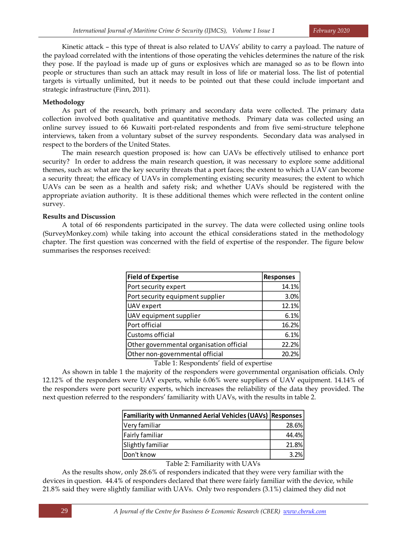Kinetic attack – this type of threat is also related to UAVs' ability to carry a payload. The nature of the payload correlated with the intentions of those operating the vehicles determines the nature of the risk they pose. If the payload is made up of guns or explosives which are managed so as to be flown into people or structures than such an attack may result in loss of life or material loss. The list of potential targets is virtually unlimited, but it needs to be pointed out that these could include important and strategic infrastructure (Finn, 2011).

# **Methodology**

As part of the research, both primary and secondary data were collected. The primary data collection involved both qualitative and quantitative methods. Primary data was collected using an online survey issued to 66 Kuwaiti port-related respondents and from five semi-structure telephone interviews, taken from a voluntary subset of the survey respondents. Secondary data was analysed in respect to the borders of the United States.

The main research question proposed is: how can UAVs be effectively utilised to enhance port security? In order to address the main research question, it was necessary to explore some additional themes, such as: what are the key security threats that a port faces; the extent to which a UAV can become a security threat; the efficacy of UAVs in complementing existing security measures; the extent to which UAVs can be seen as a health and safety risk; and whether UAVs should be registered with the appropriate aviation authority. It is these additional themes which were reflected in the content online survey.

# **Results and Discussion**

A total of 66 respondents participated in the survey. The data were collected using online tools (SurveyMonkey.com) while taking into account the ethical considerations stated in the methodology chapter. The first question was concerned with the field of expertise of the responder. The figure below summarises the responses received:

| <b>Field of Expertise</b>                | <b>Responses</b> |  |
|------------------------------------------|------------------|--|
| Port security expert                     | 14.1%            |  |
| Port security equipment supplier         | 3.0%             |  |
| UAV expert                               | 12.1%            |  |
| UAV equipment supplier                   | 6.1%             |  |
| Port official                            | 16.2%            |  |
| Customs official                         | 6.1%             |  |
| Other governmental organisation official | 22.2%            |  |
| Other non-governmental official          | 20.2%            |  |
| Table 1: Respondents' field of expertise |                  |  |

As shown in table 1 the majority of the responders were governmental organisation officials. Only 12.12% of the responders were UAV experts, while 6.06% were suppliers of UAV equipment. 14.14% of the responders were port security experts, which increases the reliability of the data they provided. The next question referred to the responders' familiarity with UAVs, with the results in table 2.

| <b>Familiarity with Unmanned Aerial Vehicles (UAVs) Responses</b> |       |
|-------------------------------------------------------------------|-------|
| Very familiar                                                     | 28.6% |
| Fairly familiar                                                   | 44.4% |
| Slightly familiar                                                 | 21.8% |
| Don't know                                                        | 3.2%  |

Table 2: Familiarity with UAVs

As the results show, only 28.6% of responders indicated that they were very familiar with the devices in question. 44.4% of responders declared that there were fairly familiar with the device, while 21.8% said they were slightly familiar with UAVs. Only two responders (3.1%) claimed they did not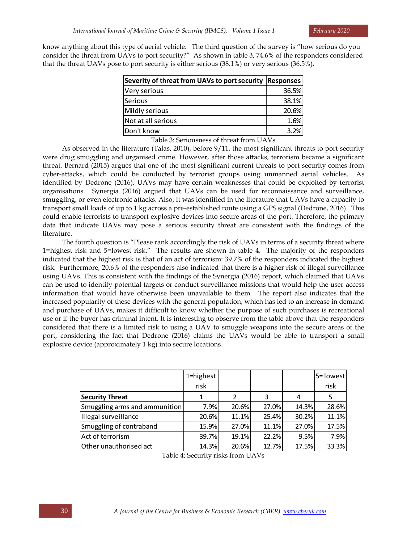know anything about this type of aerial vehicle. The third question of the survey is "how serious do you consider the threat from UAVs to port security?" As shown in table 3, 74.6% of the responders considered that the threat UAVs pose to port security is either serious (38.1%) or very serious (36.5%).

| Severity of threat from UAVs to port security | <b>Responses</b> |  |
|-----------------------------------------------|------------------|--|
| Very serious                                  | 36.5%            |  |
| lSerious                                      | 38.1%            |  |
| Mildly serious                                | 20.6%            |  |
| Not at all serious                            | 1.6%             |  |
| Don't know                                    | 3.2%             |  |

Table 3: Seriousness of threat from UAVs

As observed in the literature (Talas, 2010), before 9/11, the most significant threats to port security were drug smuggling and organised crime. However, after those attacks, terrorism became a significant threat. Bernard (2015) argues that one of the most significant current threats to port security comes from cyber-attacks, which could be conducted by terrorist groups using unmanned aerial vehicles. As identified by Dedrone (2016), UAVs may have certain weaknesses that could be exploited by terrorist organisations. Synergia (2016) argued that UAVs can be used for reconnaissance and surveillance, smuggling, or even electronic attacks. Also, it was identified in the literature that UAVs have a capacity to transport small loads of up to 1 kg across a pre-established route using a GPS signal (Dedrone, 2016). This could enable terrorists to transport explosive devices into secure areas of the port. Therefore, the primary data that indicate UAVs may pose a serious security threat are consistent with the findings of the literature.

The fourth question is "Please rank accordingly the risk of UAVs in terms of a security threat where 1=highest risk and 5=lowest risk." The results are shown in table 4. The majority of the responders indicated that the highest risk is that of an act of terrorism: 39.7% of the responders indicated the highest risk. Furthermore, 20.6% of the responders also indicated that there is a higher risk of illegal surveillance using UAVs. This is consistent with the findings of the Synergia (2016) report, which claimed that UAVs can be used to identify potential targets or conduct surveillance missions that would help the user access information that would have otherwise been unavailable to them. The report also indicates that the increased popularity of these devices with the general population, which has led to an increase in demand and purchase of UAVs, makes it difficult to know whether the purpose of such purchases is recreational use or if the buyer has criminal intent. It is interesting to observe from the table above that the responders considered that there is a limited risk to using a UAV to smuggle weapons into the secure areas of the port, considering the fact that Dedrone (2016) claims the UAVs would be able to transport a small explosive device (approximately 1 kg) into secure locations.

|                               | 1=highest<br>risk |                |       |       | 5 = lowest<br>risk |
|-------------------------------|-------------------|----------------|-------|-------|--------------------|
| <b>Security Threat</b>        |                   | $\mathfrak{p}$ | 3     |       |                    |
| Smuggling arms and ammunition | 7.9%              | 20.6%          | 27.0% | 14.3% | 28.6%              |
| Illegal surveillance          | 20.6%             | 11.1%          | 25.4% | 30.2% | 11.1%              |
| Smuggling of contraband       | 15.9%             | 27.0%          | 11.1% | 27.0% | 17.5%              |
| Act of terrorism              | 39.7%             | 19.1%          | 22.2% | 9.5%  | 7.9%               |
| Other unauthorised act        | 14.3%             | 20.6%          | 12.7% | 17.5% | 33.3%              |

Table 4: Security risks from UAVs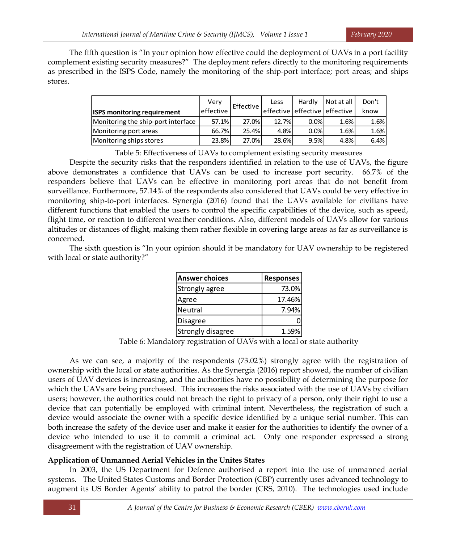The fifth question is "In your opinion how effective could the deployment of UAVs in a port facility complement existing security measures?" The deployment refers directly to the monitoring requirements as prescribed in the ISPS Code, namely the monitoring of the ship-port interface; port areas; and ships stores.

| <b>ISPS monitoring requirement</b> | Very<br>effective | Effective | Less  | Hardly<br>effective leffective leffective | Not at all | Don't<br>know |
|------------------------------------|-------------------|-----------|-------|-------------------------------------------|------------|---------------|
| Monitoring the ship-port interface | 57.1%             | 27.0%     | 12.7% | $0.0\%$                                   | 1.6%       | 1.6%          |
| Monitoring port areas              | 66.7%             | 25.4%     | 4.8%  | 0.0%                                      | 1.6%       | 1.6%          |
| Monitoring ships stores            | 23.8%             | 27.0%     | 28.6% | 9.5%                                      | 4.8%       | 6.4%          |

Table 5: Effectiveness of UAVs to complement existing security measures

Despite the security risks that the responders identified in relation to the use of UAVs, the figure above demonstrates a confidence that UAVs can be used to increase port security. 66.7% of the responders believe that UAVs can be effective in monitoring port areas that do not benefit from surveillance. Furthermore, 57.14% of the respondents also considered that UAVs could be very effective in monitoring ship-to-port interfaces. Synergia (2016) found that the UAVs available for civilians have different functions that enabled the users to control the specific capabilities of the device, such as speed, flight time, or reaction to different weather conditions. Also, different models of UAVs allow for various altitudes or distances of flight, making them rather flexible in covering large areas as far as surveillance is concerned.

The sixth question is "In your opinion should it be mandatory for UAV ownership to be registered with local or state authority?"

| Answer choices    | Responses |
|-------------------|-----------|
| Strongly agree    | 73.0%     |
| Agree             | 17.46%    |
| Neutral           | 7.94%     |
| Disagree          |           |
| Strongly disagree | 1.59%     |

Table 6: Mandatory registration of UAVs with a local or state authority

As we can see, a majority of the respondents (73.02%) strongly agree with the registration of ownership with the local or state authorities. As the Synergia (2016) report showed, the number of civilian users of UAV devices is increasing, and the authorities have no possibility of determining the purpose for which the UAVs are being purchased. This increases the risks associated with the use of UAVs by civilian users; however, the authorities could not breach the right to privacy of a person, only their right to use a device that can potentially be employed with criminal intent. Nevertheless, the registration of such a device would associate the owner with a specific device identified by a unique serial number. This can both increase the safety of the device user and make it easier for the authorities to identify the owner of a device who intended to use it to commit a criminal act. Only one responder expressed a strong disagreement with the registration of UAV ownership.

# **Application of Unmanned Aerial Vehicles in the Unites States**

In 2003, the US Department for Defence authorised a report into the use of unmanned aerial systems. The United States Customs and Border Protection (CBP) currently uses advanced technology to augment its US Border Agents' ability to patrol the border (CRS, 2010). The technologies used include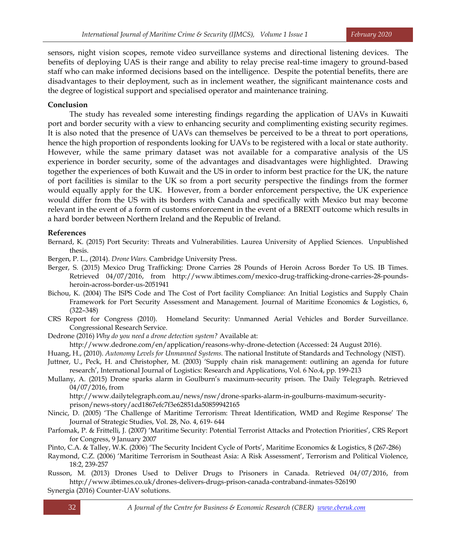sensors, night vision scopes, remote video surveillance systems and directional listening devices. The benefits of deploying UAS is their range and ability to relay precise real-time imagery to ground-based staff who can make informed decisions based on the intelligence. Despite the potential benefits, there are disadvantages to their deployment, such as in inclement weather, the significant maintenance costs and the degree of logistical support and specialised operator and maintenance training.

# **Conclusion**

The study has revealed some interesting findings regarding the application of UAVs in Kuwaiti port and border security with a view to enhancing security and complimenting existing security regimes. It is also noted that the presence of UAVs can themselves be perceived to be a threat to port operations, hence the high proportion of respondents looking for UAVs to be registered with a local or state authority. However, while the same primary dataset was not available for a comparative analysis of the US experience in border security, some of the advantages and disadvantages were highlighted. Drawing together the experiences of both Kuwait and the US in order to inform best practice for the UK, the nature of port facilities is similar to the UK so from a port security perspective the findings from the former would equally apply for the UK. However, from a border enforcement perspective, the UK experience would differ from the US with its borders with Canada and specifically with Mexico but may become relevant in the event of a form of customs enforcement in the event of a BREXIT outcome which results in a hard border between Northern Ireland and the Republic of Ireland.

## **References**

Bernard, K. (2015) Port Security: Threats and Vulnerabilities. Laurea University of Applied Sciences. Unpublished thesis.

Bergen, P. L., (2014). *Drone Wars.* Cambridge University Press.

- Berger, S. (2015) Mexico Drug Trafficking: Drone Carries 28 Pounds of Heroin Across Border To US. IB Times. Retrieved 04/07/2016, from http://www.ibtimes.com/mexico-drug-trafficking-drone-carries-28-poundsheroin-across-border-us-2051941
- Bichou, K. (2004) The ISPS Code and The Cost of Port facility Compliance: An Initial Logistics and Supply Chain Framework for Port Security Assessment and Management. Journal of Maritime Economics & Logistics, 6, (322–348)
- CRS Report for Congress (2010). Homeland Security: Unmanned Aerial Vehicles and Border Surveillance. Congressional Research Service.
- Dedrone (2016) *Why do you need a drone detection system?* Available at:

http://www.dedrone.com/en/application/reasons-why-drone-detection (Accessed: 24 August 2016).

- Huang, H., (2010). *Autonomy Levels for Unmanned Systems.* The national Institute of Standards and Technology (NIST).
- Juttner, U., Peck, H. and Christopher, M. (2003) 'Supply chain risk management: outlining an agenda for future research', International Journal of Logistics: Research and Applications, Vol. 6 No.4, pp. 199-213
- Mullany, A. (2015) Drone sparks alarm in Goulburn's maximum-security prison. The Daily Telegraph. Retrieved 04/07/2016, from

http://www.dailytelegraph.com.au/news/nsw/drone-sparks-alarm-in-goulburns-maximum-securityprison/news-story/acd1867efc7f3e62851da50859942165

- Nincic, D. (2005) 'The Challenge of Maritime Terrorism: Threat Identification, WMD and Regime Response' The Journal of Strategic Studies, Vol. 28, No. 4, 619- 644
- Parfomak, P. & Frittelli, J. (2007) 'Maritime Security: Potential Terrorist Attacks and Protection Priorities', CRS Report for Congress, 9 January 2007
- Pinto, C.A. & Talley, W.K. (2006) 'The Security Incident Cycle of Ports', Maritime Economics & Logistics, 8 (267-286)
- Raymond, C.Z. (2006) 'Maritime Terrorism in Southeast Asia: A Risk Assessment', Terrorism and Political Violence, 18:2, 239-257
- Russon, M. (2013) Drones Used to Deliver Drugs to Prisoners in Canada. Retrieved 04/07/2016, from http://www.ibtimes.co.uk/drones-delivers-drugs-prison-canada-contraband-inmates-526190

Synergia (2016) Counter-UAV solutions.